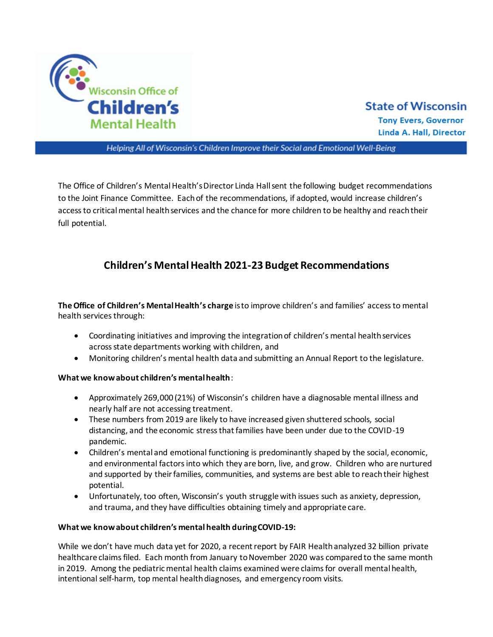

# **State of Wisconsin**

**Tony Evers, Governor** Linda A. Hall, Director

Helping All of Wisconsin's Children Improve their Social and Emotional Well-Being

The Office of Children's Mental Health's Director Linda Hall sent the following budget recommendations to the Joint Finance Committee. Each of the recommendations, if adopted, would increase children's access to critical mental health services and the chance for more children to be healthy and reach their full potential.

## **Children's Mental Health 2021-23 Budget Recommendations**

**TheOffice of Children's Mental Health's charge** is to improve children's and families' access to mental health services through:

- Coordinating initiatives and improving the integration of children's mental health services across state departments working with children, and
- Monitoring children's mental health data and submitting an Annual Report to the legislature.

### **What we know about children's mental health**:

- Approximately 269,000 (21%) of Wisconsin's children have a diagnosable mental illness and nearly half are not accessing treatment.
- These numbers from 2019 are likely to have increased given shuttered schools, social distancing, and the economic stress that families have been under due to the COVID-19 pandemic.
- Children's mental and emotional functioning is predominantly shaped by the social, economic, and environmental factors into which they are born, live, and grow. Children who are nurtured and supported by their families, communities, and systems are best able to reach their highest potential.
- Unfortunately, too often, Wisconsin's youth struggle with issues such as anxiety, depression, and trauma, and they have difficulties obtaining timely and appropriate care.

#### **What we know about children's mental health during COVID-19:**

While we don't have much data yet for 2020, a recent report by FAIR Health analyzed 32 billion private healthcare claims filed. Each month from January to November 2020 was comparedto the same month in 2019. Among the pediatric mental health claims examined were claims for overall mental health, intentional self-harm, top mental health diagnoses, and emergency room visits.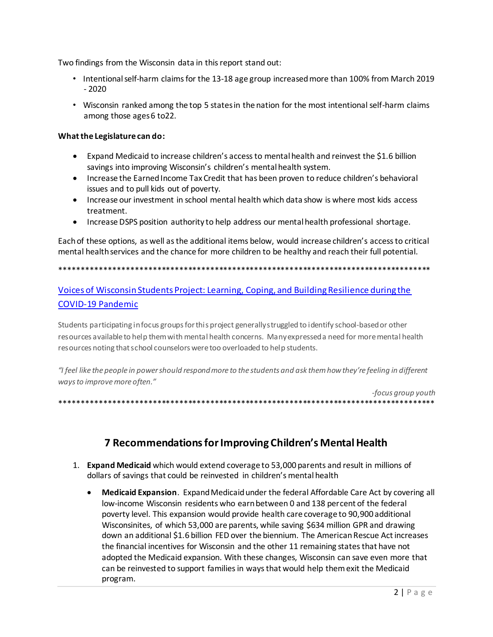Two findings from the Wisconsin data in this report stand out:

- Intentional self-harm claims for the 13-18 age group increased more than 100% from March 2019  $-2020$
- . Wisconsin ranked among the top 5 states in the nation for the most intentional self-harm claims among those ages 6 to22.

#### What the Legislature can do:

- Expand Medicaid to increase children's access to mental health and reinvest the \$1.6 billion savings into improving Wisconsin's children's mental health system.
- Increase the Earned Income Tax Credit that has been proven to reduce children's behavioral issues and to pull kids out of poverty.
- Increase our investment in school mental health which data show is where most kids access treatment.
- Increase DSPS position authority to help address our mental health professional shortage.

Each of these options, as well as the additional items below, would increase children's access to critical mental health services and the chance for more children to be healthy and reach their full potential.

### Voices of Wisconsin Students Project: Learning, Coping, and Building Resilience during the **COVID-19 Pandemic**

Students participating infocus groups for this project generally struggled to identify school-based or other resources available to help them with mental health concerns. Many expressed a need for more mental health resources noting that school counselors were too overloaded to help students.

"I feel like the people in power should respond more to the students and ask them how they're feeling in different ways to improve more often."

-focus group youth 

### 7 Recommendations for Improving Children's Mental Health

- 1. Expand Medicaid which would extend coverage to 53,000 parents and result in millions of dollars of savings that could be reinvested in children's mental health
	- Medicaid Expansion. Expand Medicaid under the federal Affordable Care Act by covering all low-income Wisconsin residents who earn between 0 and 138 percent of the federal poverty level. This expansion would provide health care coverage to 90,900 additional Wisconsinites, of which 53,000 are parents, while saving \$634 million GPR and drawing down an additional \$1.6 billion FED over the biennium. The American Rescue Act increases the financial incentives for Wisconsin and the other 11 remaining states that have not adopted the Medicaid expansion. With these changes, Wisconsin can save even more that can be reinvested to support families in ways that would help them exit the Medicaid program.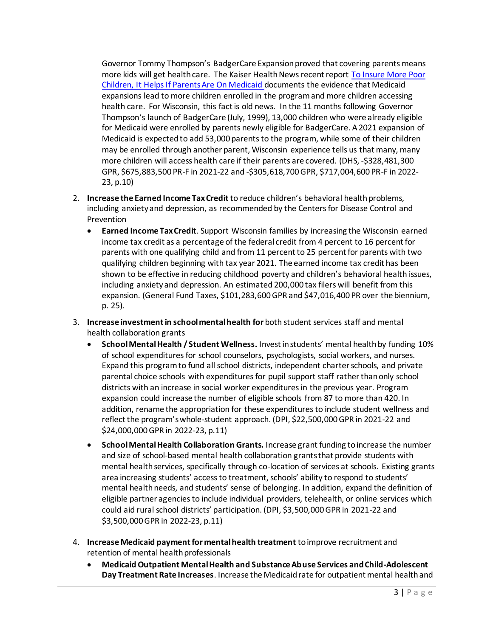Governor Tommy Thompson's BadgerCare Expansion proved that covering parents means more kids will get health care. The Kaiser Health News recent report [To Insure More Poor](https://khn.org/news/to-insure-more-poor-children-it-helps-if-parents-are-on-medicaid/)  [Children, It Helps If Parents Are On Medicaid d](https://khn.org/news/to-insure-more-poor-children-it-helps-if-parents-are-on-medicaid/)ocuments the evidence that Medicaid expansions lead to more children enrolled in the program and more children accessing health care. For Wisconsin, this fact is old news. In the 11 months following Governor Thompson's launch of BadgerCare (July, 1999), 13,000 children who were already eligible for Medicaid were enrolled by parents newly eligible for BadgerCare. A 2021 expansion of Medicaid is expected to add 53,000 parents to the program, while some of their children may be enrolled through another parent, Wisconsin experience tells us that many, many more children will access health care if their parents are covered. (DHS, -\$328,481,300 GPR, \$675,883,500 PR-F in 2021-22 and -\$305,618,700 GPR, \$717,004,600 PR-F in 2022- 23, p.10)

- 2. **Increase the Earned Income Tax Credit** to reduce children's behavioral health problems, including anxiety and depression, as recommended by the Centers for Disease Control and Prevention
	- **Earned Income Tax Credit**. Support Wisconsin families by increasing the Wisconsin earned income tax credit as a percentage of the federal credit from 4 percent to 16 percent for parents with one qualifying child and from 11 percent to 25 percent for parents with two qualifying children beginning with tax year 2021. The earned income tax credit has been shown to be effective in reducing childhood poverty and children's behavioral health issues, including anxiety and depression. An estimated 200,000 tax filers will benefit from this expansion. (General Fund Taxes, \$101,283,600 GPR and \$47,016,400 PR over the biennium, p. 25).
- 3. **Increase investment in school mental health for** both student services staff and mental health collaboration grants
	- **School Mental Health / Student Wellness.** Invest in students' mental health by funding 10% of school expenditures for school counselors, psychologists, social workers, and nurses. Expand this program to fund all school districts, independent charter schools, and private parental choice schools with expenditures for pupil support staff rather than only school districts with an increase in social worker expenditures in the previous year. Program expansion could increase the number of eligible schools from 87 to more than 420. In addition, rename the appropriation for these expenditures to include student wellness and reflect the program's whole-student approach. (DPI, \$22,500,000 GPR in 2021-22 and \$24,000,000 GPR in 2022-23, p.11)
	- **School Mental Health Collaboration Grants.** Increase grant funding to increase the number and size of school-based mental health collaboration grants that provide students with mental health services, specifically through co-location of services at schools. Existing grants area increasing students' access to treatment, schools' ability to respond to students' mental health needs, and students' sense of belonging. In addition, expand the definition of eligible partner agencies to include individual providers, telehealth, or online services which could aid rural school districts' participation. (DPI, \$3,500,000 GPR in 2021-22 and \$3,500,000 GPR in 2022-23, p.11)
- 4. **Increase Medicaid payment for mental health treatment** to improve recruitment and retention of mental health professionals
	- **Medicaid Outpatient Mental Health and Substance Abuse Services and Child-Adolescent Day Treatment Rate Increases**. Increase the Medicaid rate for outpatient mental health and